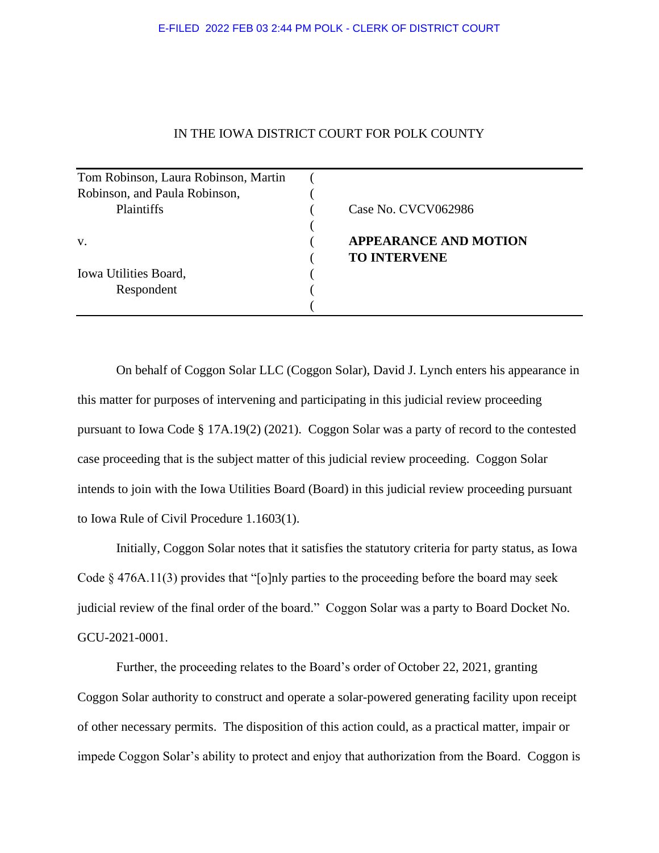## IN THE IOWA DISTRICT COURT FOR POLK COUNTY

| Tom Robinson, Laura Robinson, Martin |                              |
|--------------------------------------|------------------------------|
| Robinson, and Paula Robinson,        |                              |
| Plaintiffs                           | Case No. CVCV062986          |
|                                      |                              |
| V.                                   | <b>APPEARANCE AND MOTION</b> |
|                                      | <b>TO INTERVENE</b>          |
| Iowa Utilities Board,                |                              |
| Respondent                           |                              |
|                                      |                              |

On behalf of Coggon Solar LLC (Coggon Solar), David J. Lynch enters his appearance in this matter for purposes of intervening and participating in this judicial review proceeding pursuant to Iowa Code § 17A.19(2) (2021). Coggon Solar was a party of record to the contested case proceeding that is the subject matter of this judicial review proceeding. Coggon Solar intends to join with the Iowa Utilities Board (Board) in this judicial review proceeding pursuant to Iowa Rule of Civil Procedure 1.1603(1).

Initially, Coggon Solar notes that it satisfies the statutory criteria for party status, as Iowa Code § 476A.11(3) provides that "[o]nly parties to the proceeding before the board may seek judicial review of the final order of the board." Coggon Solar was a party to Board Docket No. GCU-2021-0001.

Further, the proceeding relates to the Board's order of October 22, 2021, granting Coggon Solar authority to construct and operate a solar-powered generating facility upon receipt of other necessary permits. The disposition of this action could, as a practical matter, impair or impede Coggon Solar's ability to protect and enjoy that authorization from the Board. Coggon is